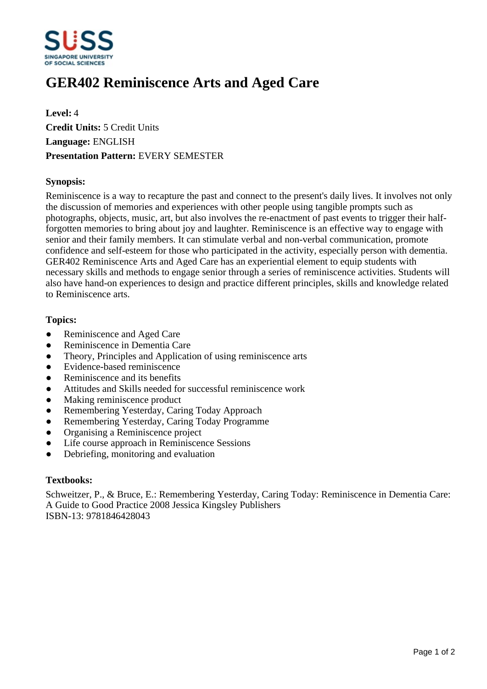

# **GER402 Reminiscence Arts and Aged Care**

**Level:** 4 **Credit Units:** 5 Credit Units **Language:** ENGLISH **Presentation Pattern:** EVERY SEMESTER

## **Synopsis:**

Reminiscence is a way to recapture the past and connect to the present's daily lives. It involves not only the discussion of memories and experiences with other people using tangible prompts such as photographs, objects, music, art, but also involves the re-enactment of past events to trigger their halfforgotten memories to bring about joy and laughter. Reminiscence is an effective way to engage with senior and their family members. It can stimulate verbal and non-verbal communication, promote confidence and self-esteem for those who participated in the activity, especially person with dementia. GER402 Reminiscence Arts and Aged Care has an experiential element to equip students with necessary skills and methods to engage senior through a series of reminiscence activities. Students will also have hand-on experiences to design and practice different principles, skills and knowledge related to Reminiscence arts.

## **Topics:**

- Reminiscence and Aged Care
- Reminiscence in Dementia Care
- Theory, Principles and Application of using reminiscence arts
- Evidence-based reminiscence
- Reminiscence and its benefits
- Attitudes and Skills needed for successful reminiscence work
- Making reminiscence product
- Remembering Yesterday, Caring Today Approach
- Remembering Yesterday, Caring Today Programme
- Organising a Reminiscence project
- ƔLife course approach in Reminiscence Sessions
- ƔDebriefing, monitoring and evaluation

#### **Textbooks:**

Schweitzer, P., & Bruce, E.: Remembering Yesterday, Caring Today: Reminiscence in Dementia Care: A Guide to Good Practice 2008 Jessica Kingsley Publishers ISBN-13: 9781846428043